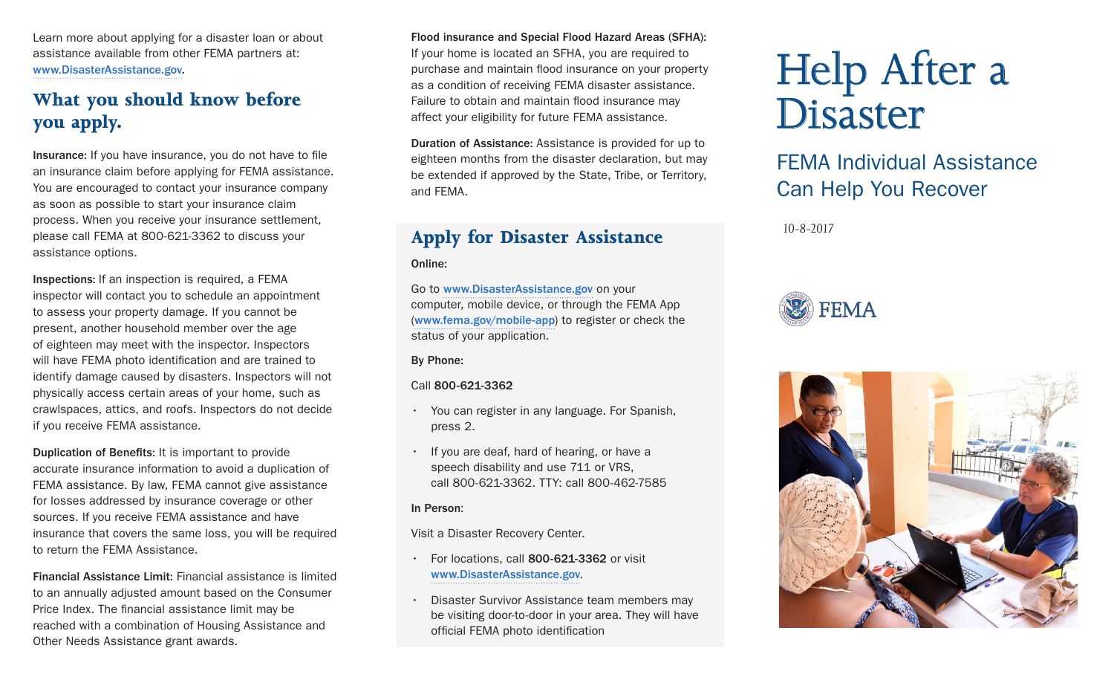Learn more about applying for a disaster loan or about assistance available from other FEMA partners at: www.DisasterAssistance.gov.

# **What you should know before you apply.**

Insurance: If you have insurance, you do not have to fle an insurance claim before applying for FEMA assistance. You are encouraged to contact your insurance company as soon as possible to start your insurance claim process. When you receive your insurance settlement, please call FEMA at 800-621-3362 to discuss your assistance options.

Inspections: If an inspection is required, a FEMA inspector will contact you to schedule an appointment to assess your property damage. If you cannot be present, another household member over the age of eighteen may meet with the inspector. Inspectors will have FEMA photo identification and are trained to identify damage caused by disasters. Inspectors will not physically access certain areas of your home, such as crawlspaces, attics, and roofs. Inspectors do not decide if you receive FEMA assistance.

Duplication of Benefits: It is important to provide accurate insurance information to avoid a duplication of FEMA assistance. By law, FEMA cannot give assistance for losses addressed by insurance coverage or other sources. If you receive FEMA assistance and have insurance that covers the same loss, you will be required to return the FEMA Assistance.

Financial Assistance Limit: Financial assistance is limited to an annually adjusted amount based on the Consumer Price Index. The financial assistance limit may be reached with a combination of Housing Assistance and Other Needs Assistance grant awards.

#### Flood insurance and Special Flood Hazard Areas (SFHA):

If your home is located an SFHA, you are required to purchase and maintain flood insurance on your property as a condition of receiving FEMA disaster assistance. Failure to obtain and maintain flood insurance may affect your eligibility for future FEMA assistance.

Duration of Assistance: Assistance is provided for up to eighteen months from the disaster declaration, but may be extended if approved by the State, Tribe, or Territory, and FEMA.

# **Apply for Disaster Assistance**

Online:

Go to www.DisasterAssistance.gov on your computer, mobile device, or through the FEMA App (www.fema.gov/mobile-app) to register or check the status of your application.

By Phone:

#### Call 800-621-3362

- You can register in any language. For Spanish, press 2.
- If you are deaf, hard of hearing, or have a speech disability and use 711 or VRS, call 800-621-3362. TTY: call 800-462-7585

#### In Person:

Visit a Disaster Recovery Center.

- For locations, call 800-621-3362 or visit www.DisasterAssistance.gov.
- Disaster Survivor Assistance team members may be visiting door-to-door in your area. They will have official FEMA photo identification

# Help After a Disaster

# FEMA Individual Assistance Can Help You Recover

*10-8-2017*